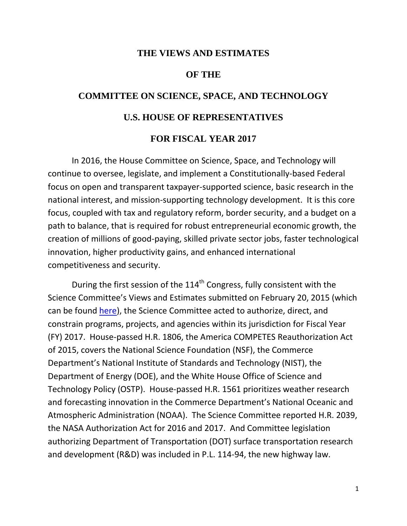## **THE VIEWS AND ESTIMATES**

### **OF THE**

# **COMMITTEE ON SCIENCE, SPACE, AND TECHNOLOGY U.S. HOUSE OF REPRESENTATIVES**

### **FOR FISCAL YEAR 2017**

In 2016, the House Committee on Science, Space, and Technology will continue to oversee, legislate, and implement a Constitutionally-based Federal focus on open and transparent taxpayer-supported science, basic research in the national interest, and mission-supporting technology development. It is this core focus, coupled with tax and regulatory reform, border security, and a budget on a path to balance, that is required for robust entrepreneurial economic growth, the creation of millions of good-paying, skilled private sector jobs, faster technological innovation, higher productivity gains, and enhanced international competitiveness and security.

During the first session of the  $114<sup>th</sup>$  Congress, fully consistent with the Science Committee's Views and Estimates submitted on February 20, 2015 (which can be found [here\)](https://science.house.gov/sites/republicans.science.house.gov/files/documents/Views%20and%20Estimates%20FY16.pdf), the Science Committee acted to authorize, direct, and constrain programs, projects, and agencies within its jurisdiction for Fiscal Year (FY) 2017. House-passed H.R. 1806, the America COMPETES Reauthorization Act of 2015, covers the National Science Foundation (NSF), the Commerce Department's National Institute of Standards and Technology (NIST), the Department of Energy (DOE), and the White House Office of Science and Technology Policy (OSTP). House-passed H.R. 1561 prioritizes weather research and forecasting innovation in the Commerce Department's National Oceanic and Atmospheric Administration (NOAA). The Science Committee reported H.R. 2039, the NASA Authorization Act for 2016 and 2017. And Committee legislation authorizing Department of Transportation (DOT) surface transportation research and development (R&D) was included in P.L. 114-94, the new highway law.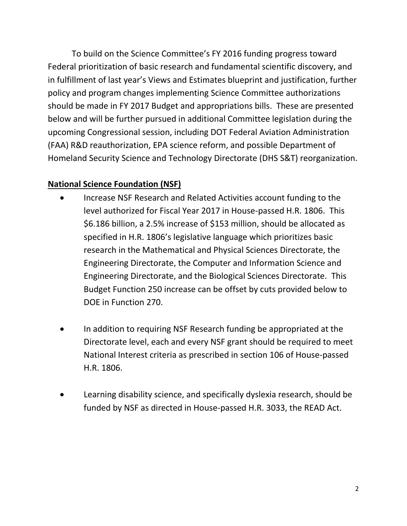To build on the Science Committee's FY 2016 funding progress toward Federal prioritization of basic research and fundamental scientific discovery, and in fulfillment of last year's Views and Estimates blueprint and justification, further policy and program changes implementing Science Committee authorizations should be made in FY 2017 Budget and appropriations bills. These are presented below and will be further pursued in additional Committee legislation during the upcoming Congressional session, including DOT Federal Aviation Administration (FAA) R&D reauthorization, EPA science reform, and possible Department of Homeland Security Science and Technology Directorate (DHS S&T) reorganization.

# **National Science Foundation (NSF)**

- Increase NSF Research and Related Activities account funding to the level authorized for Fiscal Year 2017 in House-passed H.R. 1806. This \$6.186 billion, a 2.5% increase of \$153 million, should be allocated as specified in H.R. 1806's legislative language which prioritizes basic research in the Mathematical and Physical Sciences Directorate, the Engineering Directorate, the Computer and Information Science and Engineering Directorate, and the Biological Sciences Directorate. This Budget Function 250 increase can be offset by cuts provided below to DOE in Function 270.
- In addition to requiring NSF Research funding be appropriated at the Directorate level, each and every NSF grant should be required to meet National Interest criteria as prescribed in section 106 of House-passed H.R. 1806.
- Learning disability science, and specifically dyslexia research, should be funded by NSF as directed in House-passed H.R. 3033, the READ Act.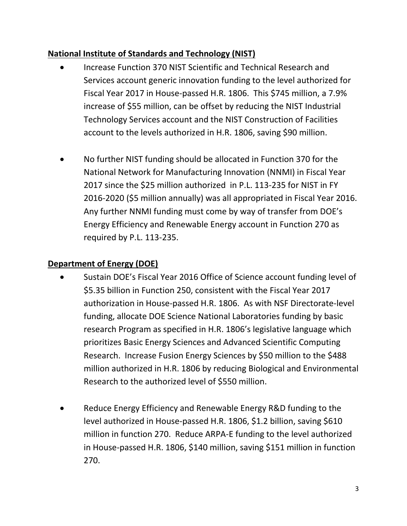# **National Institute of Standards and Technology (NIST)**

- Increase Function 370 NIST Scientific and Technical Research and Services account generic innovation funding to the level authorized for Fiscal Year 2017 in House-passed H.R. 1806. This \$745 million, a 7.9% increase of \$55 million, can be offset by reducing the NIST Industrial Technology Services account and the NIST Construction of Facilities account to the levels authorized in H.R. 1806, saving \$90 million.
- No further NIST funding should be allocated in Function 370 for the National Network for Manufacturing Innovation (NNMI) in Fiscal Year 2017 since the \$25 million authorized in P.L. 113-235 for NIST in FY 2016-2020 (\$5 million annually) was all appropriated in Fiscal Year 2016. Any further NNMI funding must come by way of transfer from DOE's Energy Efficiency and Renewable Energy account in Function 270 as required by P.L. 113-235.

# **Department of Energy (DOE)**

- Sustain DOE's Fiscal Year 2016 Office of Science account funding level of \$5.35 billion in Function 250, consistent with the Fiscal Year 2017 authorization in House-passed H.R. 1806. As with NSF Directorate-level funding, allocate DOE Science National Laboratories funding by basic research Program as specified in H.R. 1806's legislative language which prioritizes Basic Energy Sciences and Advanced Scientific Computing Research. Increase Fusion Energy Sciences by \$50 million to the \$488 million authorized in H.R. 1806 by reducing Biological and Environmental Research to the authorized level of \$550 million.
- Reduce Energy Efficiency and Renewable Energy R&D funding to the level authorized in House-passed H.R. 1806, \$1.2 billion, saving \$610 million in function 270. Reduce ARPA-E funding to the level authorized in House-passed H.R. 1806, \$140 million, saving \$151 million in function 270.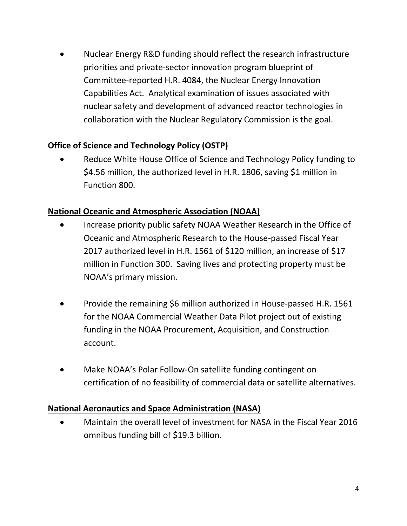Nuclear Energy R&D funding should reflect the research infrastructure priorities and private-sector innovation program blueprint of Committee-reported H.R. 4084, the Nuclear Energy Innovation Capabilities Act. Analytical examination of issues associated with nuclear safety and development of advanced reactor technologies in collaboration with the Nuclear Regulatory Commission is the goal.

# **Office of Science and Technology Policy (OSTP)**

• Reduce White House Office of Science and Technology Policy funding to \$4.56 million, the authorized level in H.R. 1806, saving \$1 million in Function 800.

# **National Oceanic and Atmospheric Association (NOAA)**

- Increase priority public safety NOAA Weather Research in the Office of Oceanic and Atmospheric Research to the House-passed Fiscal Year 2017 authorized level in H.R. 1561 of \$120 million, an increase of \$17 million in Function 300. Saving lives and protecting property must be NOAA's primary mission.
- Provide the remaining \$6 million authorized in House-passed H.R. 1561 for the NOAA Commercial Weather Data Pilot project out of existing funding in the NOAA Procurement, Acquisition, and Construction account.
- Make NOAA's Polar Follow-On satellite funding contingent on certification of no feasibility of commercial data or satellite alternatives.

# **National Aeronautics and Space Administration (NASA)**

 Maintain the overall level of investment for NASA in the Fiscal Year 2016 omnibus funding bill of \$19.3 billion.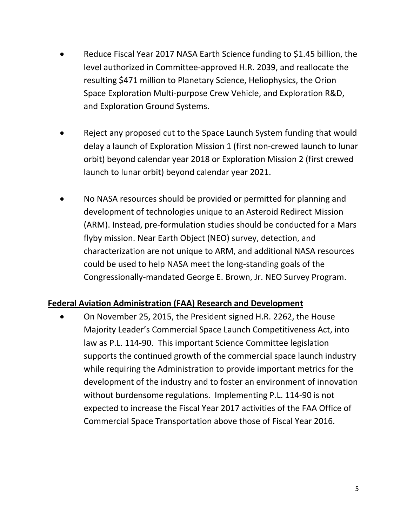- Reduce Fiscal Year 2017 NASA Earth Science funding to \$1.45 billion, the level authorized in Committee-approved H.R. 2039, and reallocate the resulting \$471 million to Planetary Science, Heliophysics, the Orion Space Exploration Multi-purpose Crew Vehicle, and Exploration R&D, and Exploration Ground Systems.
- Reject any proposed cut to the Space Launch System funding that would delay a launch of Exploration Mission 1 (first non-crewed launch to lunar orbit) beyond calendar year 2018 or Exploration Mission 2 (first crewed launch to lunar orbit) beyond calendar year 2021.
- No NASA resources should be provided or permitted for planning and development of technologies unique to an Asteroid Redirect Mission (ARM). Instead, pre-formulation studies should be conducted for a Mars flyby mission. Near Earth Object (NEO) survey, detection, and characterization are not unique to ARM, and additional NASA resources could be used to help NASA meet the long-standing goals of the Congressionally-mandated George E. Brown, Jr. NEO Survey Program.

## **Federal Aviation Administration (FAA) Research and Development**

 On November 25, 2015, the President signed H.R. 2262, the House Majority Leader's Commercial Space Launch Competitiveness Act, into law as P.L. 114-90. This important Science Committee legislation supports the continued growth of the commercial space launch industry while requiring the Administration to provide important metrics for the development of the industry and to foster an environment of innovation without burdensome regulations. Implementing P.L. 114-90 is not expected to increase the Fiscal Year 2017 activities of the FAA Office of Commercial Space Transportation above those of Fiscal Year 2016.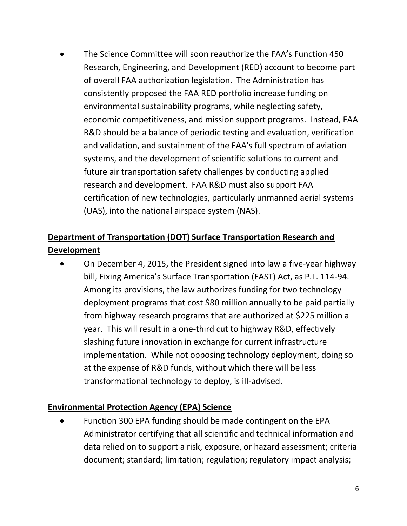The Science Committee will soon reauthorize the FAA's Function 450 Research, Engineering, and Development (RED) account to become part of overall FAA authorization legislation. The Administration has consistently proposed the FAA RED portfolio increase funding on environmental sustainability programs, while neglecting safety, economic competitiveness, and mission support programs. Instead, FAA R&D should be a balance of periodic testing and evaluation, verification and validation, and sustainment of the FAA's full spectrum of aviation systems, and the development of scientific solutions to current and future air transportation safety challenges by conducting applied research and development. FAA R&D must also support FAA certification of new technologies, particularly unmanned aerial systems (UAS), into the national airspace system (NAS).

# **Department of Transportation (DOT) Surface Transportation Research and Development**

 On December 4, 2015, the President signed into law a five-year highway bill, Fixing America's Surface Transportation (FAST) Act, as P.L. 114-94. Among its provisions, the law authorizes funding for two technology deployment programs that cost \$80 million annually to be paid partially from highway research programs that are authorized at \$225 million a year. This will result in a one-third cut to highway R&D, effectively slashing future innovation in exchange for current infrastructure implementation. While not opposing technology deployment, doing so at the expense of R&D funds, without which there will be less transformational technology to deploy, is ill-advised.

# **Environmental Protection Agency (EPA) Science**

• Function 300 EPA funding should be made contingent on the EPA Administrator certifying that all scientific and technical information and data relied on to support a risk, exposure, or hazard assessment; criteria document; standard; limitation; regulation; regulatory impact analysis;